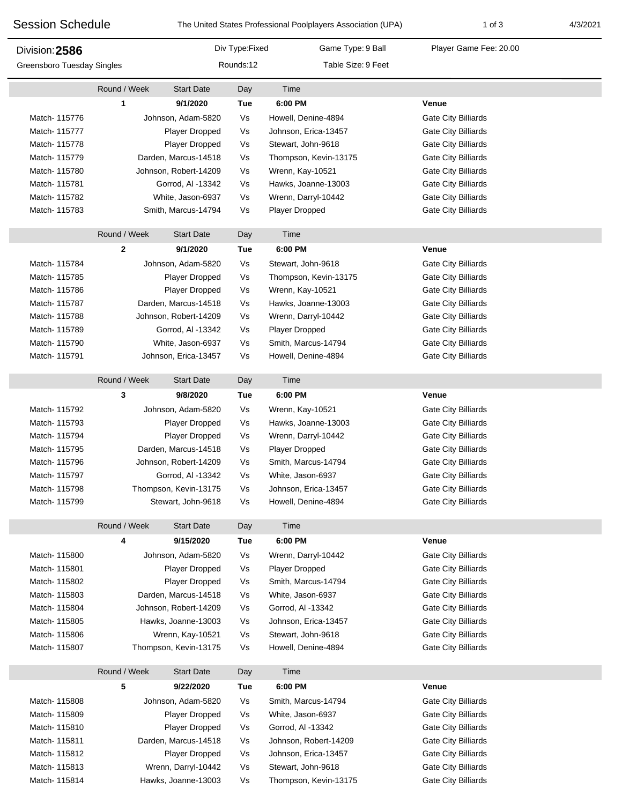| <b>Session Schedule</b>           |              | The United States Professional Poolplayers Association (UPA) |                | $1$ of $3$            | 4/3/2021                   |  |
|-----------------------------------|--------------|--------------------------------------------------------------|----------------|-----------------------|----------------------------|--|
| Division: 2586                    |              |                                                              | Div Type:Fixed | Game Type: 9 Ball     | Player Game Fee: 20.00     |  |
| <b>Greensboro Tuesday Singles</b> |              | Rounds:12                                                    |                | Table Size: 9 Feet    |                            |  |
|                                   | Round / Week | <b>Start Date</b>                                            | Day            | Time                  |                            |  |
|                                   | 1            | 9/1/2020                                                     | Tue            | 6:00 PM               | Venue                      |  |
| Match-115776                      |              | Johnson, Adam-5820                                           | Vs             | Howell, Denine-4894   | <b>Gate City Billiards</b> |  |
| Match-115777                      |              | Player Dropped                                               | Vs             | Johnson, Erica-13457  | <b>Gate City Billiards</b> |  |
| Match-115778                      |              | Player Dropped                                               | Vs             | Stewart, John-9618    | <b>Gate City Billiards</b> |  |
| Match- 115779                     |              | Darden, Marcus-14518                                         |                | Thompson, Kevin-13175 | <b>Gate City Billiards</b> |  |
| Match- 115780                     |              | Johnson, Robert-14209                                        | Vs             | Wrenn, Kay-10521      | <b>Gate City Billiards</b> |  |
| Match- 115781                     |              | Gorrod, Al -13342                                            | Vs             | Hawks, Joanne-13003   | <b>Gate City Billiards</b> |  |
| Match- 115782                     |              | White, Jason-6937                                            | Vs             | Wrenn, Darryl-10442   | Gate City Billiards        |  |
| Match- 115783                     |              | Smith, Marcus-14794                                          | Vs             | Player Dropped        | <b>Gate City Billiards</b> |  |
|                                   | Round / Week | <b>Start Date</b>                                            | Day            | Time                  |                            |  |
|                                   | $\mathbf{2}$ | 9/1/2020                                                     | Tue            | 6:00 PM               | Venue                      |  |
| Match-115784                      |              | Johnson, Adam-5820                                           | Vs             | Stewart, John-9618    | <b>Gate City Billiards</b> |  |
| Match-115785                      |              | Player Dropped                                               | Vs             | Thompson, Kevin-13175 | <b>Gate City Billiards</b> |  |
| Match- 115786                     |              | Player Dropped                                               | Vs             | Wrenn, Kay-10521      | <b>Gate City Billiards</b> |  |
| Match- 115787                     |              | Darden, Marcus-14518                                         |                | Hawks, Joanne-13003   | <b>Gate City Billiards</b> |  |
| Match- 115788                     |              | Johnson, Robert-14209                                        | Vs<br>Vs       | Wrenn, Darryl-10442   | <b>Gate City Billiards</b> |  |
| Match- 115789                     |              | Gorrod, Al -13342                                            | Vs             | <b>Player Dropped</b> | <b>Gate City Billiards</b> |  |
| Match- 115790                     |              | White, Jason-6937                                            | Vs             | Smith, Marcus-14794   | <b>Gate City Billiards</b> |  |
| Match-115791                      |              | Johnson, Erica-13457                                         | Vs             | Howell, Denine-4894   | <b>Gate City Billiards</b> |  |
|                                   | Round / Week | <b>Start Date</b>                                            | Day            | Time                  |                            |  |
|                                   | 3            | 9/8/2020                                                     | <b>Tue</b>     | 6:00 PM               | Venue                      |  |
| Match- 115792                     |              | Johnson, Adam-5820                                           | Vs             | Wrenn, Kay-10521      | <b>Gate City Billiards</b> |  |
| Match- 115793                     |              | Player Dropped                                               | Vs             | Hawks, Joanne-13003   | <b>Gate City Billiards</b> |  |
| Match- 115794                     |              | Player Dropped                                               | Vs             | Wrenn, Darryl-10442   | <b>Gate City Billiards</b> |  |
| Match-115795                      |              | Darden, Marcus-14518                                         |                | Player Dropped        | <b>Gate City Billiards</b> |  |
| Match- 115796                     |              | Johnson, Robert-14209                                        | Vs<br>Vs       | Smith, Marcus-14794   | <b>Gate City Billiards</b> |  |
| Match- 115797                     |              | Gorrod, Al -13342                                            | Vs             | White, Jason-6937     | <b>Gate City Billiards</b> |  |
| Match- 115798                     |              | Thompson, Kevin-13175                                        |                | Johnson, Erica-13457  | Gate City Billiards        |  |
| Match- 115799                     |              | Stewart, John-9618                                           | Vs<br>Vs       | Howell, Denine-4894   | Gate City Billiards        |  |
|                                   | Round / Week | <b>Start Date</b>                                            | Day            | Time                  |                            |  |
|                                   | 4            | 9/15/2020                                                    | Tue            | 6:00 PM               | Venue                      |  |
| Match- 115800                     |              | Johnson, Adam-5820                                           | Vs             | Wrenn, Darryl-10442   | Gate City Billiards        |  |
| Match-115801                      |              | Player Dropped                                               | Vs             | <b>Player Dropped</b> | Gate City Billiards        |  |
| Match- 115802                     |              | Player Dropped                                               | Vs             | Smith, Marcus-14794   | Gate City Billiards        |  |
| Match-115803                      |              | Darden, Marcus-14518                                         |                | White, Jason-6937     | <b>Gate City Billiards</b> |  |
| Match- 115804                     |              | Johnson, Robert-14209                                        |                | Gorrod, Al -13342     | Gate City Billiards        |  |
| Match- 115805                     |              | Hawks, Joanne-13003                                          |                | Johnson, Erica-13457  | Gate City Billiards        |  |
| Match- 115806                     |              | Wrenn, Kay-10521                                             |                | Stewart, John-9618    | Gate City Billiards        |  |
| Match- 115807                     |              | Thompson, Kevin-13175                                        |                | Howell, Denine-4894   | Gate City Billiards        |  |
|                                   | Round / Week | <b>Start Date</b>                                            | Day            | Time                  |                            |  |
|                                   | 5            | 9/22/2020                                                    | Tue            | 6:00 PM               | Venue                      |  |
| Match- 115808                     |              | Johnson, Adam-5820                                           |                | Smith, Marcus-14794   | <b>Gate City Billiards</b> |  |
| Match- 115809                     |              | Player Dropped                                               |                | White, Jason-6937     | Gate City Billiards        |  |
| Match- 115810                     |              | Player Dropped                                               | Vs<br>Vs       | Gorrod, Al -13342     | Gate City Billiards        |  |
| Match- 115811                     |              | Darden, Marcus-14518                                         | Vs             | Johnson, Robert-14209 | <b>Gate City Billiards</b> |  |
| Match- 115812                     |              | Player Dropped                                               | Vs             | Johnson, Erica-13457  | Gate City Billiards        |  |
| Match-115813                      |              | Wrenn, Darryl-10442                                          | Vs             | Stewart, John-9618    | Gate City Billiards        |  |
| Match-115814                      |              | Hawks, Joanne-13003                                          | Vs             | Thompson, Kevin-13175 | Gate City Billiards        |  |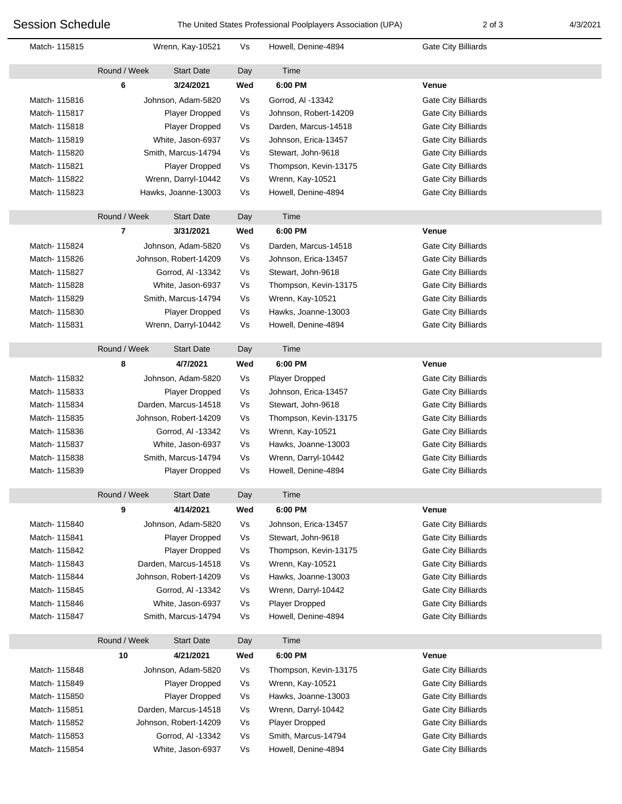I

F

| <b>Session Schedule</b> |              | The United States Professional Poolplayers Association (UPA) |           | 2 of 3                | 4/3/2021                   |  |
|-------------------------|--------------|--------------------------------------------------------------|-----------|-----------------------|----------------------------|--|
| Match-115815            |              | Wrenn, Kay-10521                                             |           | Howell, Denine-4894   | <b>Gate City Billiards</b> |  |
|                         | Round / Week | <b>Start Date</b>                                            | Day       | Time                  |                            |  |
|                         | 6            | 3/24/2021                                                    | Wed       | 6:00 PM               | <b>Venue</b>               |  |
| Match-115816            |              | Johnson, Adam-5820                                           | Vs        | Gorrod, AI -13342     | Gate City Billiards        |  |
| Match-115817            |              | Player Dropped                                               |           | Johnson, Robert-14209 | Gate City Billiards        |  |
| Match-115818            |              | Player Dropped                                               | Vs        | Darden, Marcus-14518  | Gate City Billiards        |  |
| Match- 115819           |              | White, Jason-6937                                            | Vs        | Johnson, Erica-13457  | Gate City Billiards        |  |
| Match- 115820           |              | Smith, Marcus-14794                                          |           | Stewart, John-9618    | Gate City Billiards        |  |
| Match-115821            |              | <b>Player Dropped</b>                                        |           | Thompson, Kevin-13175 | Gate City Billiards        |  |
| Match- 115822           |              | Wrenn, Darryl-10442                                          |           | Wrenn, Kay-10521      | Gate City Billiards        |  |
| Match-115823            |              | Hawks, Joanne-13003                                          |           | Howell, Denine-4894   | Gate City Billiards        |  |
|                         | Round / Week | <b>Start Date</b>                                            | Day       | Time                  |                            |  |
|                         | 7            | 3/31/2021                                                    | Wed       | 6:00 PM               | <b>Venue</b>               |  |
| Match-115824            |              | Johnson, Adam-5820                                           | Vs        | Darden, Marcus-14518  | Gate City Billiards        |  |
| Match- 115826           |              | Johnson, Robert-14209                                        |           | Johnson, Erica-13457  | <b>Gate City Billiards</b> |  |
| Match-115827            |              | Gorrod, Al -13342                                            |           | Stewart, John-9618    | Gate City Billiards        |  |
| Match-115828            |              | White, Jason-6937                                            | Vs<br>Vs  | Thompson, Kevin-13175 | Gate City Billiards        |  |
| Match- 115829           |              | Smith, Marcus-14794                                          |           | Wrenn, Kay-10521      | <b>Gate City Billiards</b> |  |
| Match-115830            |              | Player Dropped                                               |           | Hawks, Joanne-13003   | Gate City Billiards        |  |
| Match-115831            |              | Wrenn, Darryl-10442                                          |           | Howell, Denine-4894   | Gate City Billiards        |  |
|                         | Round / Week | <b>Start Date</b>                                            | Day       | Time                  |                            |  |
|                         |              | 4/7/2021                                                     |           | 6:00 PM               | <b>Venue</b>               |  |
|                         | 8            |                                                              | Wed<br>Vs |                       |                            |  |
| Match-115832            |              | Johnson, Adam-5820                                           |           | <b>Player Dropped</b> | Gate City Billiards        |  |
| Match-115833            |              | <b>Player Dropped</b>                                        | Vs        | Johnson, Erica-13457  | Gate City Billiards        |  |
| Match- 115834           |              | Darden, Marcus-14518                                         | Vs        | Stewart, John-9618    | Gate City Billiards        |  |
| Match-115835            |              | Johnson, Robert-14209                                        | Vs        | Thompson, Kevin-13175 | Gate City Billiards        |  |
| Match- 115836           |              | Gorrod, Al -13342                                            | Vs        | Wrenn, Kay-10521      | <b>Gate City Billiards</b> |  |
| Match- 115837           |              | White, Jason-6937                                            | Vs<br>Vs  | Hawks, Joanne-13003   | Gate City Billiards        |  |
| Match- 115838           |              | Smith, Marcus-14794                                          |           | Wrenn, Darryl-10442   | Gate City Billiards        |  |
| Match- 115839           |              | <b>Player Dropped</b>                                        | Vs        | Howell, Denine-4894   | Gate City Billiards        |  |
|                         | Round / Week | <b>Start Date</b>                                            | Day       | Time                  |                            |  |
|                         | 9            | 4/14/2021                                                    | Wed       | 6:00 PM               | Venue                      |  |
| Match- 115840           |              | Johnson, Adam-5820                                           | Vs        | Johnson, Erica-13457  | Gate City Billiards        |  |
| Match-115841            |              | Player Dropped                                               |           | Stewart, John-9618    | <b>Gate City Billiards</b> |  |
| Match-115842            |              | <b>Player Dropped</b>                                        |           | Thompson, Kevin-13175 | <b>Gate City Billiards</b> |  |
| Match- 115843           |              | Darden, Marcus-14518                                         |           | Wrenn, Kay-10521      | <b>Gate City Billiards</b> |  |
| Match- 115844           |              | Johnson, Robert-14209                                        |           | Hawks, Joanne-13003   | Gate City Billiards        |  |
| Match-115845            |              | Gorrod, Al -13342                                            |           | Wrenn, Darryl-10442   | Gate City Billiards        |  |
| Match- 115846           |              | White, Jason-6937                                            |           | <b>Player Dropped</b> | Gate City Billiards        |  |
| Match- 115847           |              | Smith, Marcus-14794                                          |           | Howell, Denine-4894   | Gate City Billiards        |  |
|                         | Round / Week | <b>Start Date</b>                                            | Day       | Time                  |                            |  |
|                         | 10           | 4/21/2021                                                    | Wed       | 6:00 PM               | Venue                      |  |
| Match- 115848           |              | Johnson, Adam-5820                                           | Vs        | Thompson, Kevin-13175 | Gate City Billiards        |  |
| Match-115849            |              | Player Dropped                                               |           | Wrenn, Kay-10521      | Gate City Billiards        |  |
| Match-115850            |              | Player Dropped                                               |           | Hawks, Joanne-13003   | Gate City Billiards        |  |
| Match-115851            |              | Darden, Marcus-14518                                         |           | Wrenn, Darryl-10442   | Gate City Billiards        |  |
| Match-115852            |              | Johnson, Robert-14209                                        | Vs        | Player Dropped        | Gate City Billiards        |  |
| Match- 115853           |              | Gorrod, Al -13342                                            |           | Smith, Marcus-14794   | Gate City Billiards        |  |

Match- 115854 White, Jason-6937 Vs Howell, Denine-4894 Gate City Billiards